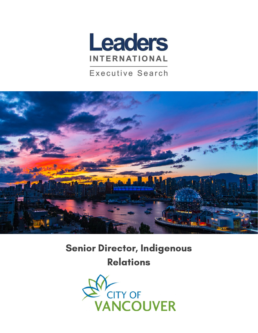

### **Executive Search**



# Senior Director, Indigenous Relations

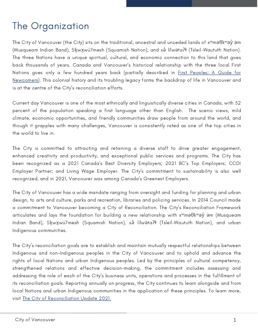# The Organization

The City of Vancouver (the City) sits on the traditional, ancestral and unceded lands of xʷməθkʷəy̓ əm (Musqueam Indian Band), Sḵwx̱wú7mesh (Squamish Nation), and sə̓ lílwətaʔɬ (Tsleil-Waututh Nation). The three Nations have a unique spiritual, cultural, and economic connection to this land that goes back thousands of years. Canada and Vancouver's historical relationship with the three local First Nations goes only a few hundred years back (partially described in **First Peoples: A Guide for** [Newcomers\).](https://vancouver.ca/files/cov/first-peoples-a-guide-for-newcomers.pdf) This colonial history and its troubling legacy forms the backdrop of life in Vancouver and is at the centre of the City's reconciliation efforts.

Current day Vancouver is one of the most ethnically and linguistically diverse cities in Canada, with 52 percent of the population speaking a first language other than English. The scenic views, mild climate, economic opportunities, and friendly communities draw people from around the world, and though it grapples with many challenges, Vancouver is consistently rated as one of the top cities in the world to live in.

The City is committed to attracting and retaining a diverse staff to drive greater engagement, enhanced creativity and productivity, and exceptional public services and programs. The City has been recognized as a 2021 Canada's Best Diversity Employers; 2021 BC's Top Employers; CCDI Employer Partner; and Living Wage Employer. The City's commitment to sustainability is also well recognized, and in 2021, Vancouver was among Canada's Greenest Employers.

The City of Vancouver has a wide mandate ranging from oversight and funding for planning and urban design, to arts and culture, parks and recreation, libraries and policing services. In 2014 Council made a commitment to Vancouver becoming a City of Reconciliation. The City's Reconciliation Framework articulates and lays the foundation for building a new relationship with xʷməθkʷəy̓ əm (Musqueam Indian Band), Skw vu 7mesh (Squamish Nation), sə lílwətan (Tsleil-Waututh Nation), and urban Indigenous communities.

The City's reconciliation goals are to establish and maintain mutually respectful relationships between Indigenous and non-Indigenous peoples in the City of Vancouver and to uphold and advance the rights of local Nations and urban Indigenous peoples. Led by the principles of cultural competency, strengthened relations and effective decision-making, the commitment includes assessing and addressing the role of each of the City's business units, operations and processes in the fulfillment of its reconciliation goals. Reporting annually on progress, the City continues to learn alongside and from local Nations and urban Indigenous communities in the application of these principles. To learn more, visit The City of [Reconciliation](https://vancouver.ca/files/cov/reconciliation-update-2021.pdf) Update 2021.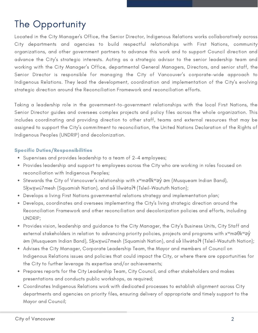# The Opportunity

Located in the City Manager's Office, the Senior Director, Indigenous Relations works collaboratively across City departments and agencies to build respectful relationships with First Nations, community organizations, and other government partners to advance this work and to support Council direction and advance the City's strategic interests. Acting as a strategic advisor to the senior leadership team and working with the City Manager's Office, departmental General Managers, Directors, and senior staff, the Senior Director is responsible for managing the City of Vancouver's corporate-wide approach to Indigenous Relations. They lead the development, coordination and implementation of the City's evolving strategic direction around the Reconciliation Framework and reconciliation efforts.

Taking a leadership role in the government-to-government relationships with the local First Nations, the Senior Director guides and oversees complex projects and policy files across the whole organization. This includes coordinating and providing direction to other staff, teams and external resources that may be assigned to support the City's commitment to reconciliation, the United Nations Declaration of the Rights of Indigenous Peoples (UNDRIP) and decolonization.

#### Specific Duties/Responsibilities

- Supervises and provides leadership to a team of 2-4 employees;
- Provides leadership and support to employees across the City who are working in roles focused on reconciliation with Indigenous Peoples;
- Stewards the City of Vancouver's relationship with x<sup>w</sup>məθkʷəy̓ əm (Musqueam Indian Band), Skwxwú7mesh (Squamish Nation), and sə́ lílwətaʔɬ (Tsleil-Waututh Nation);
- Develops a living First Nations governmental relations strategy and implementation plan;
- Develops, coordinates and oversees implementing the City's living strategic direction around the Reconciliation Framework and other reconciliation and decolonization policies and efforts, including UNDRIP;
- Provides vision, leadership and guidance to the City Manager, the City's Business Units, City Staff and external stakeholders in relation to advancing priority policies, projects and programs with x<sup>w</sup>məθk<sup>w</sup>əy<sup>́</sup> əm (Musqueam Indian Band), Skwxwú7mesh (Squamish Nation), and sə́ lílwətaʔɬ (Tsleil-Waututh Nation);
- Advises the City Manager, Corporate Leadership Team, the Mayor and members of Council on Indigenous Relations issues and policies that could impact the City, or where there are opportunities for the City to further leverage its expertise and/or achievements;
- Prepares reports for the City Leadership Team, City Council, and other stakeholders and makes presentations and conducts public workshops, as required;
- Coordinates Indigenous Relations work with dedicated processes to establish alignment across City departments and agencies on priority files, ensuring delivery of appropriate and timely support to the Mayor and Council;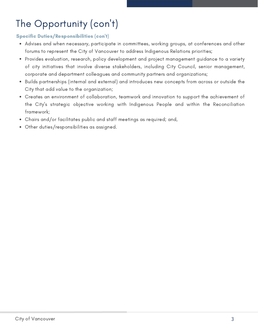# The Opportunity (con 't)

#### Specific Duties/Responsibilities (con't)

- Advises and when necessary, participate in committees, working groups, at conferences and other forums to represent the City of Vancouver to address Indigenous Relations priorities;
- Provides evaluation, research, policy development and project management guidance to a variety of city initiatives that involve diverse stakeholders, including City Council, senior management, corporate and department colleagues and community partners and organizations;
- Builds partnerships (internal and external) and introduces new concepts from across or outside the City that add value to the organization;
- Creates an environment of collaboration, teamwork and innovation to support the achievement of the City's strategic objective working with Indigenous People and within the Reconciliation framework;
- Chairs and/or facilitates public and staff meetings as required; and,
- Other duties/responsibilities as assigned.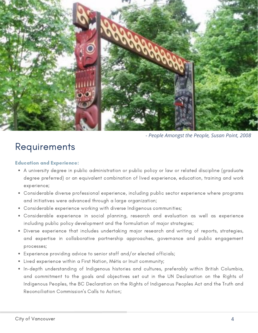

*- People Amongst the People, Susan Point, 2008*

### **Requirements**

#### Education and Experience:

- A university degree in public administration or public policy or law or related discipline (graduate degree preferred) or an equivalent combination of lived experience, education, training and work experience;
- Considerable diverse professional experience, including public sector experience where programs and initiatives were advanced through a large organization;
- Considerable experience working with diverse Indigenous communities;
- Considerable experience in social planning, research and evaluation as well as experience including public policy development and the formulation of major strategies;
- Diverse experience that includes undertaking major research and writing of reports, strategies, and expertise in collaborative partnership approaches, governance and public engagement processes;
- Experience providing advice to senior staff and/or elected officials;
- Lived experience within a First Nation, Métis or Inuit community;
- In-depth understanding of Indigenous histories and cultures, preferably within British Columbia, and commitment to the goals and objectives set out in the UN Declaration on the Rights of Indigenous Peoples, the BC Declaration on the Rights of Indigenous Peoples Act and the Truth and Reconciliation Commission's Calls to Action;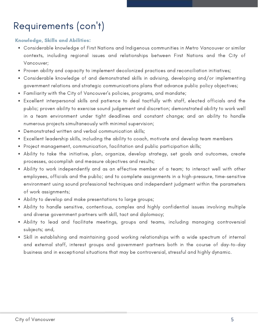# Requirements (con 't)

#### Knowledge, Skills and Abilities:

- Considerable knowledge of First Nations and Indigenous communities in Metro Vancouver or similar contexts, including regional issues and relationships between First Nations and the City of Vancouver;
- Proven ability and capacity to implement decolonized practices and reconciliation initiatives;
- Considerable knowledge of and demonstrated skills in advising, developing and/or implementing government relations and strategic communications plans that advance public policy objectives;
- Familiarity with the City of Vancouver's policies, programs, and mandate;
- Excellent interpersonal skills and patience to deal tactfully with staff, elected officials and the public; proven ability to exercise sound judgement and discretion; demonstrated ability to work well in a team environment under tight deadlines and constant change; and an ability to handle numerous projects simultaneously with minimal supervision;
- Demonstrated written and verbal communication skills;
- Excellent leadership skills, including the ability to coach, motivate and develop team members
- Project management, communication, facilitation and public participation skills;
- Ability to take the initiative, plan, organize, develop strategy, set goals and outcomes, create processes, accomplish and measure objectives and results;
- Ability to work independently and as an effective member of a team; to interact well with other employees, officials and the public; and to complete assignments in a high-pressure, time-sensitive environment using sound professional techniques and independent judgment within the parameters of work assignments;
- Ability to develop and make presentations to large groups;
- Ability to handle sensitive, contentious, complex and highly confidential issues involving multiple and diverse government partners with skill, tact and diplomacy;
- Ability to lead and facilitate meetings, groups and teams, including managing controversial subjects; and,
- Skill in establishing and maintaining good working relationships with a wide spectrum of internal and external staff, interest groups and government partners both in the course of day-to-day business and in exceptional situations that may be controversial, stressful and highly dynamic.